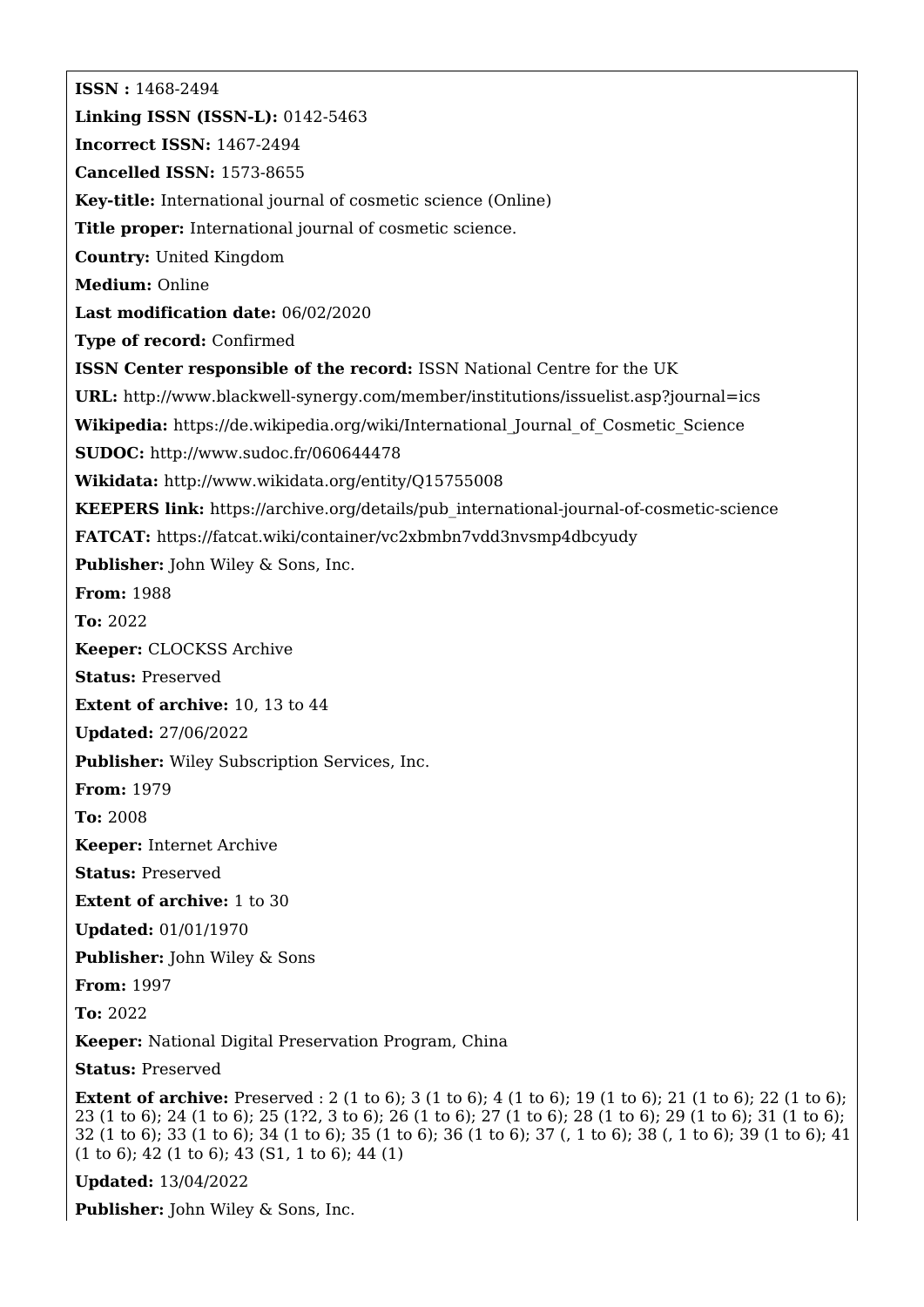**ISSN :** 1468-2494 **Linking ISSN (ISSN-L):** 0142-5463 **Incorrect ISSN:** 1467-2494 **Cancelled ISSN:** 1573-8655 **Key-title:** International journal of cosmetic science (Online) **Title proper:** International journal of cosmetic science. **Country:** United Kingdom **Medium:** Online **Last modification date:** 06/02/2020 **Type of record:** Confirmed **ISSN Center responsible of the record:** ISSN National Centre for the UK **URL:** <http://www.blackwell-synergy.com/member/institutions/issuelist.asp?journal=ics> **Wikipedia:** [https://de.wikipedia.org/wiki/International\\_Journal\\_of\\_Cosmetic\\_Science](https://de.wikipedia.org/wiki/International_Journal_of_Cosmetic_Science) **SUDOC:** <http://www.sudoc.fr/060644478> **Wikidata:** <http://www.wikidata.org/entity/Q15755008> **KEEPERS link:** [https://archive.org/details/pub\\_international-journal-of-cosmetic-science](https://archive.org/details/pub_international-journal-of-cosmetic-science) **FATCAT:** <https://fatcat.wiki/container/vc2xbmbn7vdd3nvsmp4dbcyudy> **Publisher:** John Wiley & Sons, Inc. **From:** 1988 **To:** 2022 **Keeper:** CLOCKSS Archive **Status:** Preserved **Extent of archive:** 10, 13 to 44 **Updated:** 27/06/2022 **Publisher:** Wiley Subscription Services, Inc. **From:** 1979 **To:** 2008 **Keeper:** Internet Archive **Status:** Preserved **Extent of archive:** 1 to 30 **Updated:** 01/01/1970 **Publisher:** John Wiley & Sons **From:** 1997 **To:** 2022 **Keeper:** National Digital Preservation Program, China **Status:** Preserved **Extent of archive:** Preserved : 2 (1 to 6); 3 (1 to 6); 4 (1 to 6); 19 (1 to 6); 21 (1 to 6); 22 (1 to 6); 23 (1 to 6); 24 (1 to 6); 25 (1?2, 3 to 6); 26 (1 to 6); 27 (1 to 6); 28 (1 to 6); 29 (1 to 6); 31 (1 to 6); 32 (1 to 6); 33 (1 to 6); 34 (1 to 6); 35 (1 to 6); 36 (1 to 6); 37 (, 1 to 6); 38 (, 1 to 6); 39 (1 to 6); 41 (1 to 6); 42 (1 to 6); 43 (S1, 1 to 6); 44 (1)

**Updated:** 13/04/2022

**Publisher:** John Wiley & Sons, Inc.